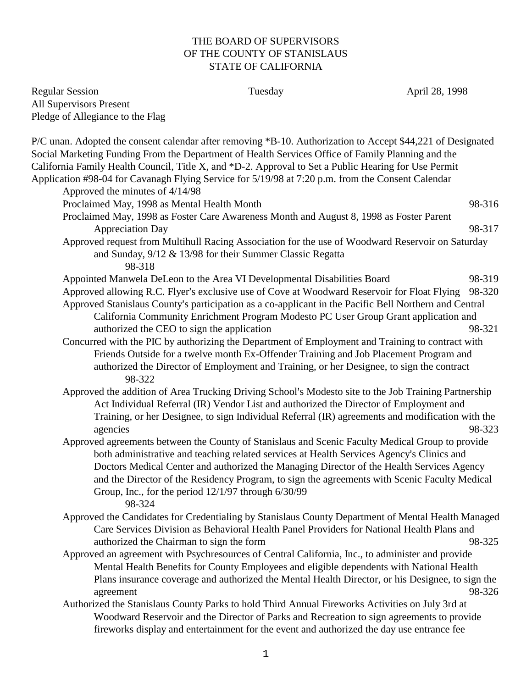## THE BOARD OF SUPERVISORS OF THE COUNTY OF STANISLAUS STATE OF CALIFORNIA

| <b>Regular Session</b><br>All Supervisors Present                                                                                                                                                                                                                                                                                                 | Tuesday                                                                                                                                                                                                                                                                                                                                                                 | April 28, 1998                                                                                                                                                                                                     |
|---------------------------------------------------------------------------------------------------------------------------------------------------------------------------------------------------------------------------------------------------------------------------------------------------------------------------------------------------|-------------------------------------------------------------------------------------------------------------------------------------------------------------------------------------------------------------------------------------------------------------------------------------------------------------------------------------------------------------------------|--------------------------------------------------------------------------------------------------------------------------------------------------------------------------------------------------------------------|
| Pledge of Allegiance to the Flag<br>P/C unan. Adopted the consent calendar after removing *B-10. Authorization to Accept \$44,221 of Designated                                                                                                                                                                                                   |                                                                                                                                                                                                                                                                                                                                                                         |                                                                                                                                                                                                                    |
| Social Marketing Funding From the Department of Health Services Office of Family Planning and the<br>California Family Health Council, Title X, and *D-2. Approval to Set a Public Hearing for Use Permit<br>Application #98-04 for Cavanagh Flying Service for 5/19/98 at 7:20 p.m. from the Consent Calendar<br>Approved the minutes of 4/14/98 |                                                                                                                                                                                                                                                                                                                                                                         |                                                                                                                                                                                                                    |
| Proclaimed May, 1998 as Mental Health Month                                                                                                                                                                                                                                                                                                       |                                                                                                                                                                                                                                                                                                                                                                         | 98-316                                                                                                                                                                                                             |
|                                                                                                                                                                                                                                                                                                                                                   | Proclaimed May, 1998 as Foster Care Awareness Month and August 8, 1998 as Foster Parent                                                                                                                                                                                                                                                                                 |                                                                                                                                                                                                                    |
| <b>Appreciation Day</b>                                                                                                                                                                                                                                                                                                                           |                                                                                                                                                                                                                                                                                                                                                                         | 98-317                                                                                                                                                                                                             |
| 98-318                                                                                                                                                                                                                                                                                                                                            | and Sunday, 9/12 & 13/98 for their Summer Classic Regatta                                                                                                                                                                                                                                                                                                               | Approved request from Multihull Racing Association for the use of Woodward Reservoir on Saturday                                                                                                                   |
| authorized the CEO to sign the application                                                                                                                                                                                                                                                                                                        | Appointed Manwela DeLeon to the Area VI Developmental Disabilities Board<br>Approved allowing R.C. Flyer's exclusive use of Cove at Woodward Reservoir for Float Flying<br>Approved Stanislaus County's participation as a co-applicant in the Pacific Bell Northern and Central<br>California Community Enrichment Program Modesto PC User Group Grant application and | 98-319<br>98-320<br>98-321                                                                                                                                                                                         |
| 98-322                                                                                                                                                                                                                                                                                                                                            | Concurred with the PIC by authorizing the Department of Employment and Training to contract with<br>Friends Outside for a twelve month Ex-Offender Training and Job Placement Program and<br>authorized the Director of Employment and Training, or her Designee, to sign the contract                                                                                  |                                                                                                                                                                                                                    |
| agencies                                                                                                                                                                                                                                                                                                                                          | Act Individual Referral (IR) Vendor List and authorized the Director of Employment and                                                                                                                                                                                                                                                                                  | Approved the addition of Area Trucking Driving School's Modesto site to the Job Training Partnership<br>Training, or her Designee, to sign Individual Referral (IR) agreements and modification with the<br>98-323 |
| 98-324                                                                                                                                                                                                                                                                                                                                            | both administrative and teaching related services at Health Services Agency's Clinics and<br>Doctors Medical Center and authorized the Managing Director of the Health Services Agency<br>Group, Inc., for the period $12/1/97$ through $6/30/99$                                                                                                                       | Approved agreements between the County of Stanislaus and Scenic Faculty Medical Group to provide<br>and the Director of the Residency Program, to sign the agreements with Scenic Faculty Medical                  |
| authorized the Chairman to sign the form                                                                                                                                                                                                                                                                                                          | Care Services Division as Behavioral Health Panel Providers for National Health Plans and                                                                                                                                                                                                                                                                               | Approved the Candidates for Credentialing by Stanislaus County Department of Mental Health Managed<br>98-325                                                                                                       |
| agreement                                                                                                                                                                                                                                                                                                                                         | Approved an agreement with Psychresources of Central California, Inc., to administer and provide<br>Mental Health Benefits for County Employees and eligible dependents with National Health                                                                                                                                                                            | Plans insurance coverage and authorized the Mental Health Director, or his Designee, to sign the<br>98-326                                                                                                         |
|                                                                                                                                                                                                                                                                                                                                                   | Authorized the Stanislaus County Parks to hold Third Annual Fireworks Activities on July 3rd at<br>Woodward Reservoir and the Director of Parks and Recreation to sign agreements to provide<br>fireworks display and entertainment for the event and authorized the day use entrance fee                                                                               |                                                                                                                                                                                                                    |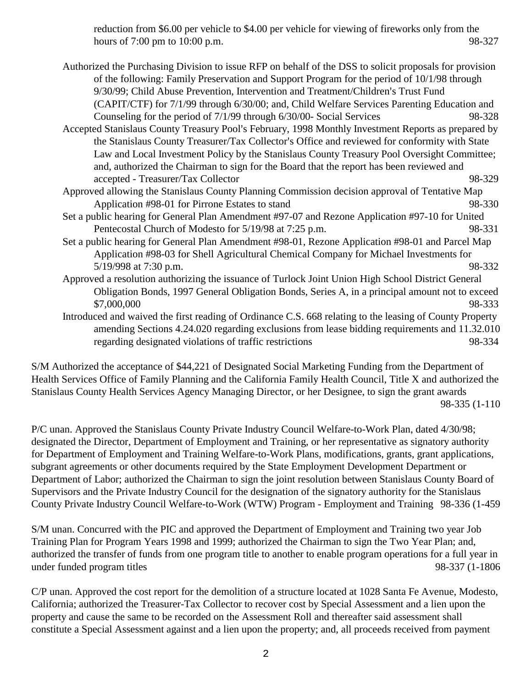reduction from \$6.00 per vehicle to \$4.00 per vehicle for viewing of fireworks only from the hours of 7:00 pm to 10:00 p.m. 98-327

Authorized the Purchasing Division to issue RFP on behalf of the DSS to solicit proposals for provision of the following: Family Preservation and Support Program for the period of 10/1/98 through 9/30/99; Child Abuse Prevention, Intervention and Treatment/Children's Trust Fund (CAPIT/CTF) for 7/1/99 through 6/30/00; and, Child Welfare Services Parenting Education and Counseling for the period of 7/1/99 through 6/30/00- Social Services 98-328 Accepted Stanislaus County Treasury Pool's February, 1998 Monthly Investment Reports as prepared by the Stanislaus County Treasurer/Tax Collector's Office and reviewed for conformity with State Law and Local Investment Policy by the Stanislaus County Treasury Pool Oversight Committee; and, authorized the Chairman to sign for the Board that the report has been reviewed and accepted - Treasurer/Tax Collector 98-329 Approved allowing the Stanislaus County Planning Commission decision approval of Tentative Map Application #98-01 for Pirrone Estates to stand 98-330 Set a public hearing for General Plan Amendment #97-07 and Rezone Application #97-10 for United Pentecostal Church of Modesto for 5/19/98 at 7:25 p.m. 98-331 Set a public hearing for General Plan Amendment #98-01, Rezone Application #98-01 and Parcel Map Application #98-03 for Shell Agricultural Chemical Company for Michael Investments for 5/19/998 at 7:30 p.m. 98-332 Approved a resolution authorizing the issuance of Turlock Joint Union High School District General Obligation Bonds, 1997 General Obligation Bonds, Series A, in a principal amount not to exceed \$7,000,000 98-333 Introduced and waived the first reading of Ordinance C.S. 668 relating to the leasing of County Property amending Sections 4.24.020 regarding exclusions from lease bidding requirements and 11.32.010 regarding designated violations of traffic restrictions 98-334

S/M Authorized the acceptance of \$44,221 of Designated Social Marketing Funding from the Department of Health Services Office of Family Planning and the California Family Health Council, Title X and authorized the Stanislaus County Health Services Agency Managing Director, or her Designee, to sign the grant awards 98-335 (1-110

P/C unan. Approved the Stanislaus County Private Industry Council Welfare-to-Work Plan, dated 4/30/98; designated the Director, Department of Employment and Training, or her representative as signatory authority for Department of Employment and Training Welfare-to-Work Plans, modifications, grants, grant applications, subgrant agreements or other documents required by the State Employment Development Department or Department of Labor; authorized the Chairman to sign the joint resolution between Stanislaus County Board of Supervisors and the Private Industry Council for the designation of the signatory authority for the Stanislaus County Private Industry Council Welfare-to-Work (WTW) Program - Employment and Training 98-336 (1-459

S/M unan. Concurred with the PIC and approved the Department of Employment and Training two year Job Training Plan for Program Years 1998 and 1999; authorized the Chairman to sign the Two Year Plan; and, authorized the transfer of funds from one program title to another to enable program operations for a full year in under funded program titles 98-337 (1-1806)

C/P unan. Approved the cost report for the demolition of a structure located at 1028 Santa Fe Avenue, Modesto, California; authorized the Treasurer-Tax Collector to recover cost by Special Assessment and a lien upon the property and cause the same to be recorded on the Assessment Roll and thereafter said assessment shall constitute a Special Assessment against and a lien upon the property; and, all proceeds received from payment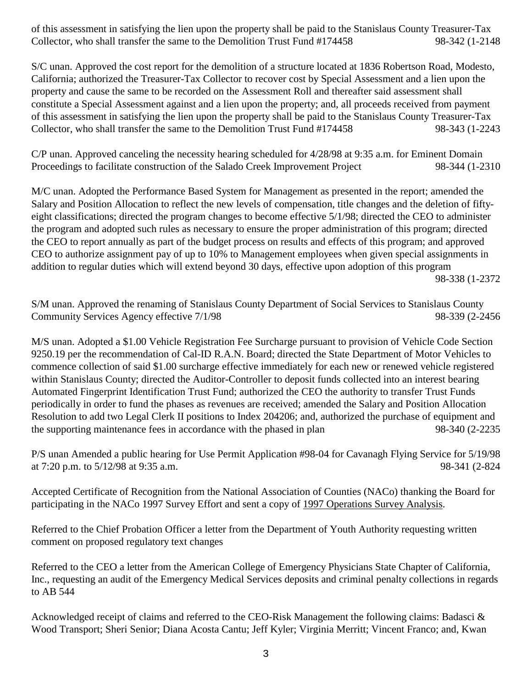of this assessment in satisfying the lien upon the property shall be paid to the Stanislaus County Treasurer-Tax Collector, who shall transfer the same to the Demolition Trust Fund #174458 98-342 (1-2148

S/C unan. Approved the cost report for the demolition of a structure located at 1836 Robertson Road, Modesto, California; authorized the Treasurer-Tax Collector to recover cost by Special Assessment and a lien upon the property and cause the same to be recorded on the Assessment Roll and thereafter said assessment shall constitute a Special Assessment against and a lien upon the property; and, all proceeds received from payment of this assessment in satisfying the lien upon the property shall be paid to the Stanislaus County Treasurer-Tax Collector, who shall transfer the same to the Demolition Trust Fund #174458 98-343 (1-2243

C/P unan. Approved canceling the necessity hearing scheduled for 4/28/98 at 9:35 a.m. for Eminent Domain Proceedings to facilitate construction of the Salado Creek Improvement Project 98-344 (1-2310

M/C unan. Adopted the Performance Based System for Management as presented in the report; amended the Salary and Position Allocation to reflect the new levels of compensation, title changes and the deletion of fiftyeight classifications; directed the program changes to become effective 5/1/98; directed the CEO to administer the program and adopted such rules as necessary to ensure the proper administration of this program; directed the CEO to report annually as part of the budget process on results and effects of this program; and approved CEO to authorize assignment pay of up to 10% to Management employees when given special assignments in addition to regular duties which will extend beyond 30 days, effective upon adoption of this program

98-338 (1-2372

S/M unan. Approved the renaming of Stanislaus County Department of Social Services to Stanislaus County Community Services Agency effective  $7/1/98$  98-339 (2-2456

M/S unan. Adopted a \$1.00 Vehicle Registration Fee Surcharge pursuant to provision of Vehicle Code Section 9250.19 per the recommendation of Cal-ID R.A.N. Board; directed the State Department of Motor Vehicles to commence collection of said \$1.00 surcharge effective immediately for each new or renewed vehicle registered within Stanislaus County; directed the Auditor-Controller to deposit funds collected into an interest bearing Automated Fingerprint Identification Trust Fund; authorized the CEO the authority to transfer Trust Funds periodically in order to fund the phases as revenues are received; amended the Salary and Position Allocation Resolution to add two Legal Clerk II positions to Index 204206; and, authorized the purchase of equipment and the supporting maintenance fees in accordance with the phased in plan 98-340 (2-2235

P/S unan Amended a public hearing for Use Permit Application #98-04 for Cavanagh Flying Service for 5/19/98 at 7:20 p.m. to 5/12/98 at 9:35 a.m. 98-341 (2-824

Accepted Certificate of Recognition from the National Association of Counties (NACo) thanking the Board for participating in the NACo 1997 Survey Effort and sent a copy of 1997 Operations Survey Analysis.

Referred to the Chief Probation Officer a letter from the Department of Youth Authority requesting written comment on proposed regulatory text changes

Referred to the CEO a letter from the American College of Emergency Physicians State Chapter of California, Inc., requesting an audit of the Emergency Medical Services deposits and criminal penalty collections in regards to AB 544

Acknowledged receipt of claims and referred to the CEO-Risk Management the following claims: Badasci & Wood Transport; Sheri Senior; Diana Acosta Cantu; Jeff Kyler; Virginia Merritt; Vincent Franco; and, Kwan